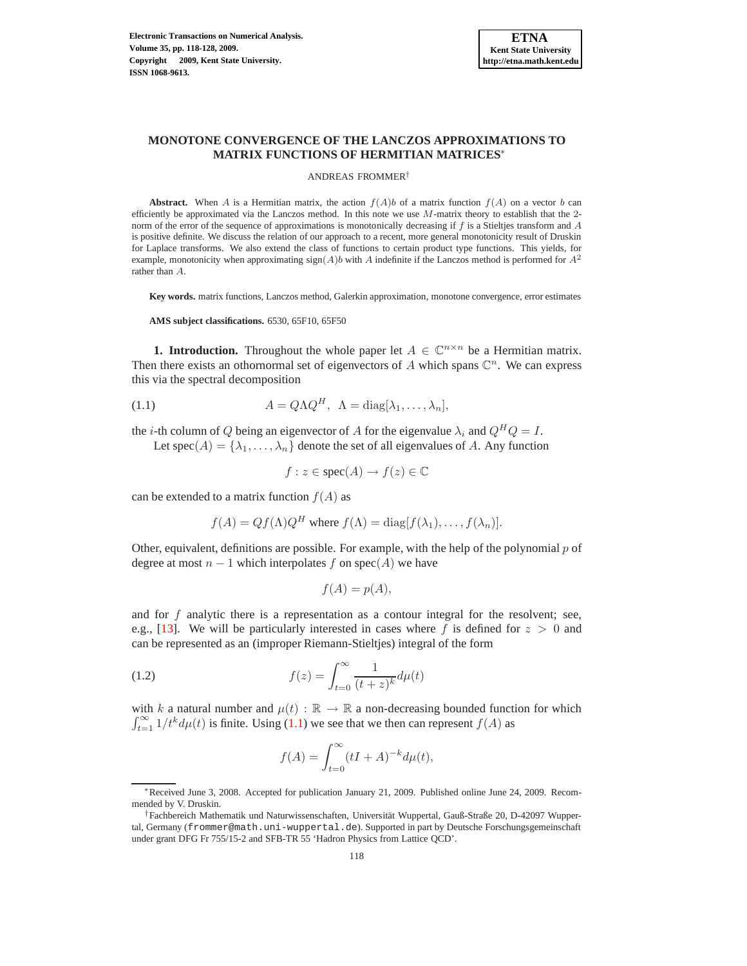

# **MONOTONE CONVERGENCE OF THE LANCZOS APPROXIMATIONS TO MATRIX FUNCTIONS OF HERMITIAN MATRICES**∗

#### ANDREAS FROMMER†

**Abstract.** When A is a Hermitian matrix, the action  $f(A)b$  of a matrix function  $f(A)$  on a vector b can efficiently be approximated via the Lanczos method. In this note we use  $M$ -matrix theory to establish that the 2norm of the error of the sequence of approximations is monotonically decreasing if  $f$  is a Stieltjes transform and  $A$ is positive definite. We discuss the relation of our approach to a recent, more general monotonicity result of Druskin for Laplace transforms. We also extend the class of functions to certain product type functions. This yields, for example, monotonicity when approximating sign(A)b with A indefinite if the Lanczos method is performed for  $A^2$ rather than A.

**Key words.** matrix functions, Lanczos method, Galerkin approximation, monotone convergence, error estimates

<span id="page-0-0"></span>**AMS subject classifications.** 6530, 65F10, 65F50

**1. Introduction.** Throughout the whole paper let  $A \in \mathbb{C}^{n \times n}$  be a Hermitian matrix. Then there exists an othornormal set of eigenvectors of A which spans  $\mathbb{C}^n$ . We can express this via the spectral decomposition

(1.1) 
$$
A = Q\Lambda Q^H, \ \Lambda = \text{diag}[\lambda_1, \dots, \lambda_n],
$$

the *i*-th column of Q being an eigenvector of A for the eigenvalue  $\lambda_i$  and  $Q^H Q = I$ .

Let spec(A) = { $\lambda_1, ..., \lambda_n$ } denote the set of all eigenvalues of A. Any function

 $f: z \in \text{spec}(A) \to f(z) \in \mathbb{C}$ 

can be extended to a matrix function  $f(A)$  as

$$
f(A) = Qf(\Lambda)Q^H
$$
 where  $f(\Lambda) = \text{diag}[f(\lambda_1), \dots, f(\lambda_n)].$ 

Other, equivalent, definitions are possible. For example, with the help of the polynomial  $p$  of degree at most  $n - 1$  which interpolates f on spec(A) we have

<span id="page-0-1"></span>
$$
f(A) = p(A),
$$

and for  $f$  analytic there is a representation as a contour integral for the resolvent; see, e.g., [\[13\]](#page-10-0). We will be particularly interested in cases where f is defined for  $z > 0$  and can be represented as an (improper Riemann-Stieltjes) integral of the form

(1.2) 
$$
f(z) = \int_{t=0}^{\infty} \frac{1}{(t+z)^k} d\mu(t)
$$

with k a natural number and  $\mu(t): \mathbb{R} \to \mathbb{R}$  a non-decreasing bounded function for which  $\int_{t=1}^{\infty} 1/t^{k} d\mu(t)$  is finite. Using [\(1.1\)](#page-0-0) we see that we then can represent  $f(A)$  as

$$
f(A) = \int_{t=0}^{\infty} (tI + A)^{-k} d\mu(t),
$$

<sup>∗</sup>Received June 3, 2008. Accepted for publication January 21, 2009. Published online June 24, 2009. Recommended by V. Druskin.

<sup>†</sup>Fachbereich Mathematik und Naturwissenschaften, Universität Wuppertal, Gauß-Straße 20, D-42097 Wuppertal, Germany (frommer@math.uni-wuppertal.de). Supported in part by Deutsche Forschungsgemeinschaft under grant DFG Fr 755/15-2 and SFB-TR 55 'Hadron Physics from Lattice QCD'.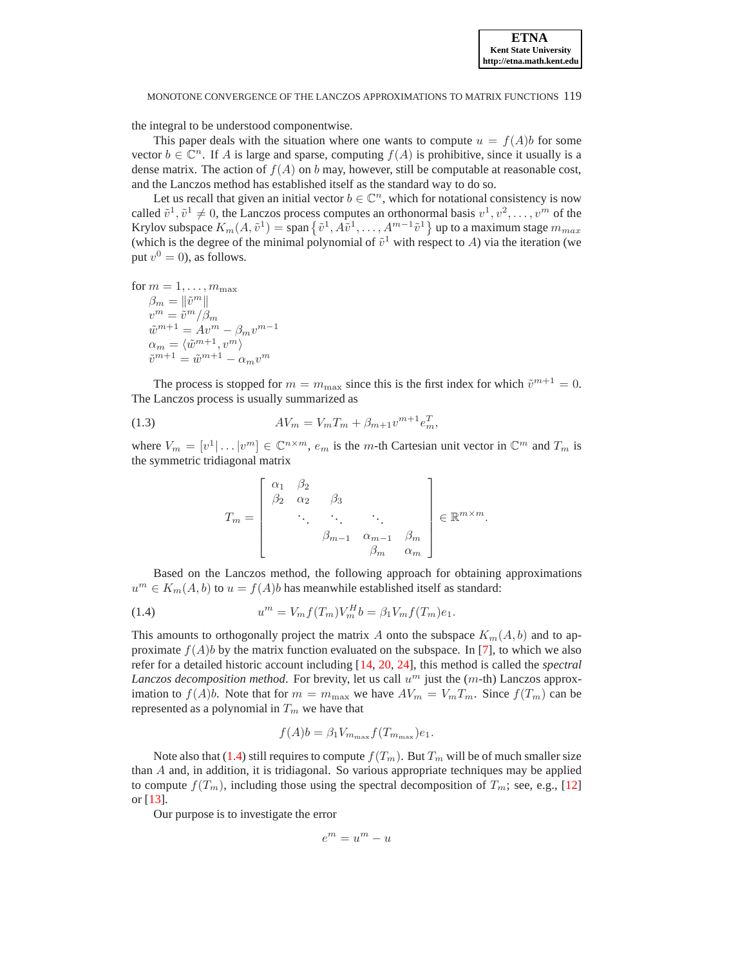MONOTONE CONVERGENCE OF THE LANCZOS APPROXIMATIONS TO MATRIX FUNCTIONS 119

the integral to be understood componentwise.

This paper deals with the situation where one wants to compute  $u = f(A)b$  for some vector  $b \in \mathbb{C}^n$ . If A is large and sparse, computing  $f(A)$  is prohibitive, since it usually is a dense matrix. The action of  $f(A)$  on b may, however, still be computable at reasonable cost, and the Lanczos method has established itself as the standard way to do so.

Let us recall that given an initial vector  $b \in \mathbb{C}^n$ , which for notational consistency is now called  $\tilde{v}^1, \tilde{v}^1 \neq 0$ , the Lanczos process computes an orthonormal basis  $v^1, v^2, \dots, v^m$  of the Krylov subspace  $K_m(A, \tilde{v}^1) =$  span  $\{\tilde{v}^1, A\tilde{v}^1, \ldots, A^{m-1}\tilde{v}^1\}$  up to a maximum stage  $m_{max}$ (which is the degree of the minimal polynomial of  $\tilde{v}^1$  with respect to A) via the iteration (we put  $v^0 = 0$ ), as follows.

for  $m = 1, \ldots, m_{\text{max}}$  $\beta_m = \|\tilde{v}^m\|$  $v^m = \tilde{v}^m / \beta_m$  $\tilde{w}^{m+1} = A v^m - \beta_m v^{m-1}$  $\alpha_m = \langle \tilde{w}^{m+1}, v^m \rangle$  $\tilde{v}^{m+1} = \tilde{w}^{m+1} - \alpha_m v^m$ 

The process is stopped for  $m = m_{\text{max}}$  since this is the first index for which  $\tilde{v}^{m+1} = 0$ . The Lanczos process is usually summarized as

(1.3) 
$$
AV_m = V_m T_m + \beta_{m+1} v^{m+1} e_m^T,
$$

where  $V_m = [v^1 | \dots | v^m] \in \mathbb{C}^{n \times m}$ ,  $e_m$  is the m-th Cartesian unit vector in  $\mathbb{C}^m$  and  $T_m$  is the symmetric tridiagonal matrix

<span id="page-1-1"></span>
$$
T_m = \begin{bmatrix} \alpha_1 & \beta_2 & & & \\ \beta_2 & \alpha_2 & \beta_3 & & \\ & \ddots & \ddots & \ddots & \\ & & \beta_{m-1} & \alpha_{m-1} & \beta_m \\ & & & \beta_m & \alpha_m \end{bmatrix} \in \mathbb{R}^{m \times m}.
$$

Based on the Lanczos method, the following approach for obtaining approximations  $u^m \in K_m(A, b)$  to  $u = f(A)b$  has meanwhile established itself as standard:

(1.4) 
$$
u^{m} = V_{m} f(T_{m}) V_{m}^{H} b = \beta_{1} V_{m} f(T_{m}) e_{1}.
$$

This amounts to orthogonally project the matrix A onto the subspace  $K_m(A, b)$  and to approximate  $f(A)b$  by the matrix function evaluated on the subspace. In [\[7\]](#page-10-1), to which we also refer for a detailed historic account including [\[14,](#page-10-2) [20,](#page-10-3) [24\]](#page-10-4), this method is called the *spectral* Lanczos decomposition method. For brevity, let us call  $u<sup>m</sup>$  just the  $(m-th)$  Lanczos approximation to  $f(A)b$ . Note that for  $m = m_{\text{max}}$  we have  $AV_m = V_mT_m$ . Since  $f(T_m)$  can be represented as a polynomial in  $T_m$  we have that

<span id="page-1-0"></span>
$$
f(A)b = \beta_1 V_{m_{\max}} f(T_{m_{\max}})e_1.
$$

Note also that [\(1.4\)](#page-1-0) still requires to compute  $f(T_m)$ . But  $T_m$  will be of much smaller size than A and, in addition, it is tridiagonal. So various appropriate techniques may be applied to compute  $f(T_m)$ , including those using the spectral decomposition of  $T_m$ ; see, e.g., [\[12\]](#page-10-5) or [\[13\]](#page-10-0).

Our purpose is to investigate the error

$$
e^m=u^m-u
$$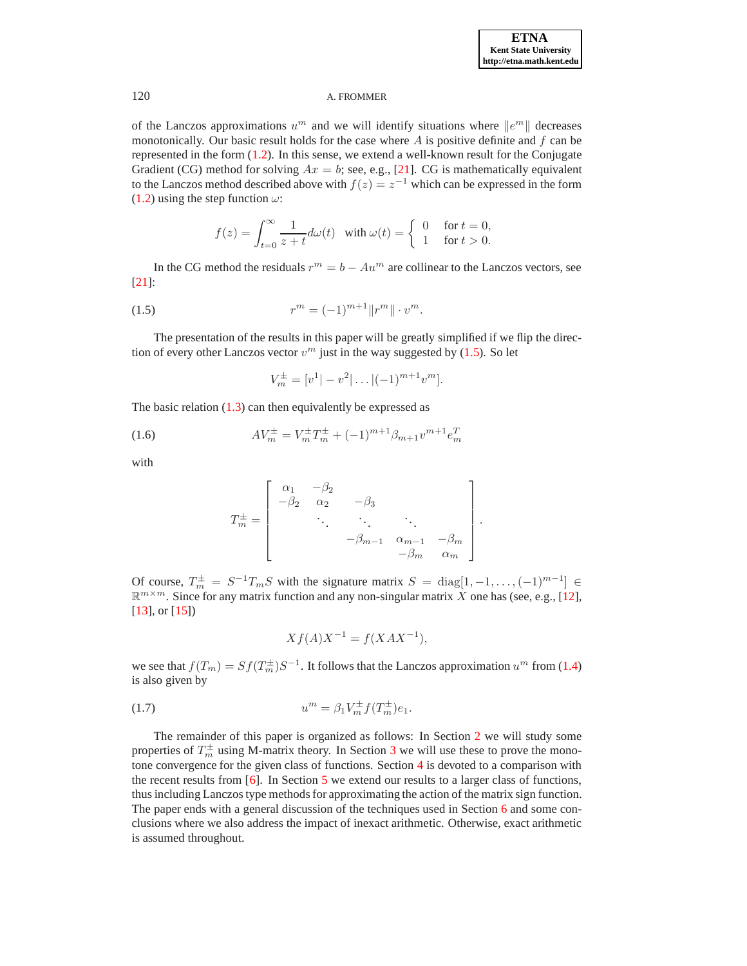of the Lanczos approximations  $u^m$  and we will identify situations where  $||e^m||$  decreases monotonically. Our basic result holds for the case where  $A$  is positive definite and  $f$  can be represented in the form [\(1.2\)](#page-0-1). In this sense, we extend a well-known result for the Conjugate Gradient (CG) method for solving  $Ax = b$ ; see, e.g., [\[21\]](#page-10-6). CG is mathematically equivalent to the Lanczos method described above with  $f(z) = z^{-1}$  which can be expressed in the form [\(1.2\)](#page-0-1) using the step function  $\omega$ :

$$
f(z) = \int_{t=0}^{\infty} \frac{1}{z+t} d\omega(t) \quad \text{with } \omega(t) = \begin{cases} 0 & \text{for } t = 0, \\ 1 & \text{for } t > 0. \end{cases}
$$

<span id="page-2-0"></span>In the CG method the residuals  $r^m = b - Au^m$  are collinear to the Lanczos vectors, see [\[21\]](#page-10-6):

(1.5) 
$$
r^{m} = (-1)^{m+1} ||r^{m}|| \cdot v^{m}.
$$

The presentation of the results in this paper will be greatly simplified if we flip the direction of every other Lanczos vector  $v^m$  just in the way suggested by [\(1.5\)](#page-2-0). So let

<span id="page-2-1"></span>
$$
V_m^{\pm} = [v^1| - v^2| \dots |(-1)^{m+1} v^m].
$$

The basic relation  $(1.3)$  can then equivalently be expressed as

(1.6) 
$$
AV_m^{\pm} = V_m^{\pm} T_m^{\pm} + (-1)^{m+1} \beta_{m+1} v^{m+1} e_m^T
$$

with

$$
T_m^{\pm} = \begin{bmatrix} \alpha_1 & -\beta_2 & & & \\ -\beta_2 & \alpha_2 & -\beta_3 & & \\ & \ddots & \ddots & \ddots & \\ & & -\beta_{m-1} & \alpha_{m-1} & -\beta_m \\ & & & -\beta_m & \alpha_m \end{bmatrix}.
$$

Of course,  $T_m^{\pm} = S^{-1}T_mS$  with the signature matrix  $S = \text{diag}[1, -1, \dots, (-1)^{m-1}] \in$  $\mathbb{R}^{m \times m}$ . Since for any matrix function and any non-singular matrix X one has (see, e.g., [\[12\]](#page-10-5), [\[13\]](#page-10-0), or [\[15\]](#page-10-7))

$$
Xf(A)X^{-1} = f(XAX^{-1}),
$$

<span id="page-2-2"></span>we see that  $f(T_m) = Sf(T_m^{\pm})S^{-1}$ . It follows that the Lanczos approximation  $u^m$  from [\(1.4\)](#page-1-0) is also given by

(1.7) 
$$
u^{m} = \beta_{1} V_{m}^{\pm} f(T_{m}^{\pm}) e_{1}.
$$

The remainder of this paper is organized as follows: In Section [2](#page-3-0) we will study some properties of  $T_m^{\pm}$  using M-matrix theory. In Section [3](#page-3-1) we will use these to prove the monotone convergence for the given class of functions. Section [4](#page-6-0) is devoted to a comparison with the recent results from [\[6\]](#page-10-8). In Section [5](#page-6-1) we extend our results to a larger class of functions, thus including Lanczos type methods for approximating the action of the matrix sign function. The paper ends with a general discussion of the techniques used in Section [6](#page-8-0) and some conclusions where we also address the impact of inexact arithmetic. Otherwise, exact arithmetic is assumed throughout.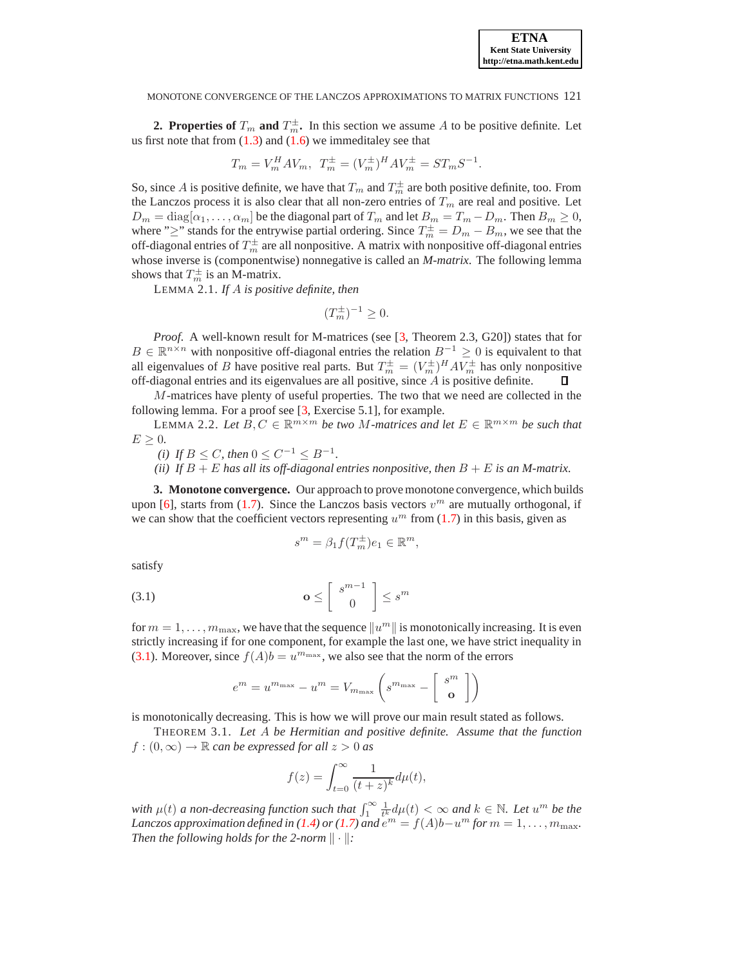#### MONOTONE CONVERGENCE OF THE LANCZOS APPROXIMATIONS TO MATRIX FUNCTIONS 121

<span id="page-3-0"></span>**2. Properties of**  $T_m$  **and**  $T_m^{\pm}$ **.** In this section we assume A to be positive definite. Let us first note that from  $(1.3)$  and  $(1.6)$  we immeditaley see that

$$
T_m = V_m^H A V_m, \ T_m^{\pm} = (V_m^{\pm})^H A V_m^{\pm} = S T_m S^{-1}.
$$

So, since A is positive definite, we have that  $T_m$  and  $T_m^{\pm}$  are both positive definite, too. From the Lanczos process it is also clear that all non-zero entries of  $T_m$  are real and positive. Let  $D_m = \text{diag}[\alpha_1, \dots, \alpha_m]$  be the diagonal part of  $T_m$  and let  $B_m = T_m - D_m$ . Then  $B_m \ge 0$ , where ">" stands for the entrywise partial ordering. Since  $T_m^{\pm} = D_m - B_m$ , we see that the off-diagonal entries of  $T_m^{\pm}$  are all nonpositive. A matrix with nonpositive off-diagonal entries whose inverse is (componentwise) nonnegative is called an *M-matrix*. The following lemma shows that  $T_m^{\pm}$  is an M-matrix.

LEMMA 2.1. *If* A *is positive definite, then*

$$
(T_m^{\pm})^{-1} \ge 0.
$$

<span id="page-3-3"></span>*Proof.* A well-known result for M-matrices (see [\[3,](#page-10-9) Theorem 2.3, G20]) states that for  $B \in \mathbb{R}^{n \times n}$  with nonpositive off-diagonal entries the relation  $B^{-1} \geq 0$  is equivalent to that all eigenvalues of B have positive real parts. But  $T_m^{\pm} = (V_m^{\pm})^H A V_m^{\pm}$  has only nonpositive off-diagonal entries and its eigenvalues are all positive, since A is positive definite.  $\Box$ 

<span id="page-3-4"></span> $M$ -matrices have plenty of useful properties. The two that we need are collected in the following lemma. For a proof see [\[3,](#page-10-9) Exercise 5.1], for example.

LEMMA 2.2. Let  $B, C \in \mathbb{R}^{m \times m}$  be two M-matrices and let  $E \in \mathbb{R}^{m \times m}$  be such that  $E \geq 0$ .

(i) If 
$$
B \leq C
$$
, then  $0 \leq C^{-1} \leq B^{-1}$ .

*(ii)* If  $B + E$  has all its off-diagonal entries nonpositive, then  $B + E$  is an M-matrix.

<span id="page-3-1"></span>**3. Monotone convergence.** Our approach to prove monotone convergence, which builds upon [\[6\]](#page-10-8), starts from [\(1.7\)](#page-2-2). Since the Lanczos basis vectors  $v^m$  are mutually orthogonal, if we can show that the coefficient vectors representing  $u^m$  from [\(1.7\)](#page-2-2) in this basis, given as

$$
s^m = \beta_1 f(T_m^{\pm}) e_1 \in \mathbb{R}^m,
$$

<span id="page-3-2"></span>satisfy

$$
\mathbf{o} \leq \left[ \begin{array}{c} s^{m-1} \\ 0 \end{array} \right] \leq s^m
$$

for  $m = 1, \ldots, m_{\text{max}}$ , we have that the sequence  $\|u^m\|$  is monotonically increasing. It is even strictly increasing if for one component, for example the last one, we have strict inequality in [\(3.1\)](#page-3-2). Moreover, since  $f(A)b = u^{m_{\text{max}}}$ , we also see that the norm of the errors

$$
e^m = u^{m_{\max}} - u^m = V_{m_{\max}} \left( s^{m_{\max}} - \left[ \begin{array}{c} s^m \\ \textbf{o} \end{array} \right] \right)
$$

<span id="page-3-5"></span>is monotonically decreasing. This is how we will prove our main result stated as follows.

THEOREM 3.1. *Let* A *be Hermitian and positive definite. Assume that the function*  $f:(0,\infty)\to\mathbb{R}$  *can be expressed for all*  $z>0$  *as* 

$$
f(z) = \int_{t=0}^{\infty} \frac{1}{(t+z)^k} d\mu(t),
$$

*with*  $\mu(t)$  *a* non-decreasing function such that  $\int_1^{\infty} \frac{1}{t^k} d\mu(t) < \infty$  and  $k \in \mathbb{N}$ . Let  $u^m$  be the *Lanczos approximation defined in* [\(1.4\)](#page-1-0) *or* [\(1.7\)](#page-2-2) *and*  $e^{m} = f(A)b - u^{m}$  *for*  $m = 1, ..., m_{\text{max}}$ . *Then the following holds for the 2-norm*  $\|\cdot\|$ *:*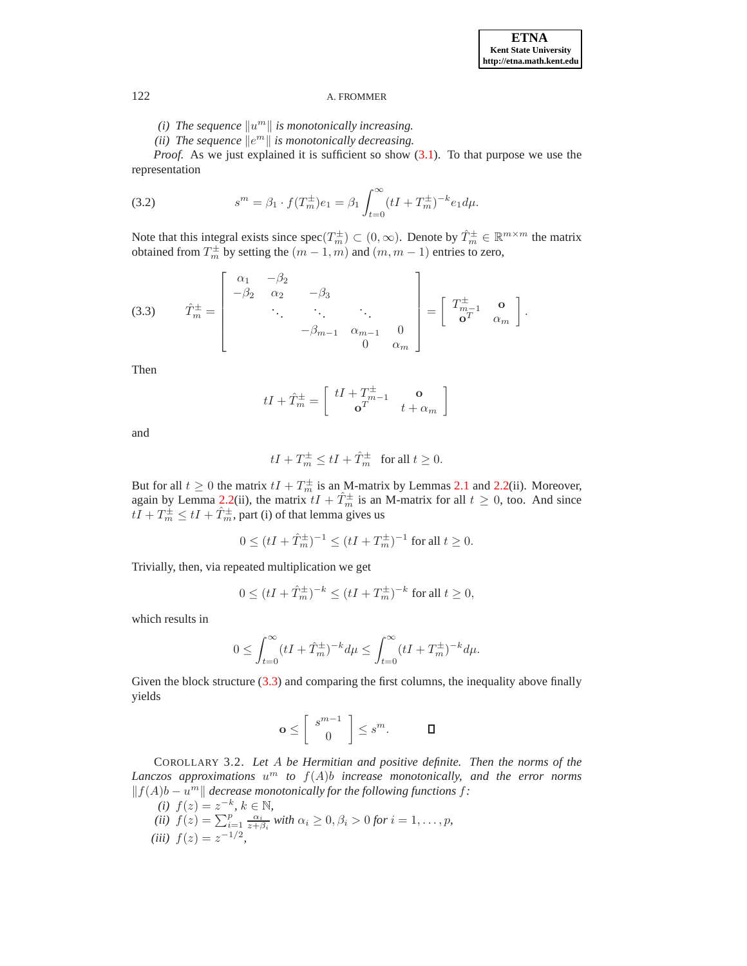*(i)* The sequence  $\Vert u^m \Vert$  is monotonically increasing.

(*ii*) The sequence  $\Vert e^m \Vert$  is monotonically decreasing.

*Proof.* As we just explained it is sufficient so show  $(3.1)$ . To that purpose we use the representation

(3.2) 
$$
s^{m} = \beta_1 \cdot f(T_m^{\pm})e_1 = \beta_1 \int_{t=0}^{\infty} (tI + T_m^{\pm})^{-k} e_1 d\mu.
$$

Note that this integral exists since  $spec(T_m^{\pm}) \subset (0, \infty)$ . Denote by  $\hat{T}_m^{\pm} \in \mathbb{R}^{m \times m}$  the matrix obtained from  $T_m^{\pm}$  by setting the  $(m-1,m)$  and  $(m,m-1)$  entries to zero,

(3.3) 
$$
\hat{T}_{m}^{\pm} = \begin{bmatrix} \alpha_{1} & -\beta_{2} & & & \\ -\beta_{2} & \alpha_{2} & -\beta_{3} & & \\ & \ddots & \ddots & \ddots & \\ & & -\beta_{m-1} & \alpha_{m-1} & 0 \\ & & & 0 & \alpha_{m} \end{bmatrix} = \begin{bmatrix} T_{m-1}^{\pm} & \mathbf{o} \\ \mathbf{o}^{T} & \alpha_{m} \end{bmatrix}.
$$

Then

<span id="page-4-0"></span>
$$
tI + \hat{T}_m^{\pm} = \left[ \begin{array}{cc} tI + T_{m-1}^{\pm} & \mathbf{o} \\ \mathbf{o}^T & t + \alpha_m \end{array} \right]
$$

and

$$
tI + T_m^{\pm} \le tI + \hat{T}_m^{\pm} \quad \text{for all } t \ge 0.
$$

But for all  $t \ge 0$  the matrix  $tI + T_m^{\pm}$  is an M-matrix by Lemmas [2.1](#page-3-3) and [2.2\(](#page-3-4)ii). Moreover, again by Lemma [2.2\(](#page-3-4)ii), the matrix  $tI + \hat{T}_m^{\pm}$  is an M-matrix for all  $t \ge 0$ , too. And since  $tI + T_m^{\pm} \leq tI + \hat{T}_m^{\pm}$ , part (i) of that lemma gives us

$$
0 \le (tI + \hat{T}_m^{\pm})^{-1} \le (tI + T_m^{\pm})^{-1} \text{ for all } t \ge 0.
$$

Trivially, then, via repeated multiplication we get

$$
0 \le (tI + \hat{T}_m^{\pm})^{-k} \le (tI + T_m^{\pm})^{-k}
$$
 for all  $t \ge 0$ ,

which results in

$$
0 \le \int_{t=0}^{\infty} (tI + \hat{T}_m^{\pm})^{-k} d\mu \le \int_{t=0}^{\infty} (tI + T_m^{\pm})^{-k} d\mu.
$$

Given the block structure  $(3.3)$  and comparing the first columns, the inequality above finally yields

$$
\mathbf{o} \leq \left[ \begin{array}{c} s^{m-1} \\ 0 \end{array} \right] \leq s^m. \qquad \qquad \Box
$$

<span id="page-4-1"></span>COROLLARY 3.2. *Let* A *be Hermitian and positive definite. Then the norms of the Lanczos approximations* u <sup>m</sup> *to* f(A)b *increase monotonically, and the error norms*  $|| f(A)b – u<sup>m</sup> ||$  *decrease monotonically for the following functions f:* 

- *(i)*  $f(z) = z^{-k}, k \in \mathbb{N}$ ,
- *(ii)*  $f(z) = \sum_{i=1}^{p} \frac{\alpha_i}{z + \beta_i}$  *with*  $\alpha_i \geq 0, \beta_i > 0$  *for*  $i = 1, \ldots, p$ *,*
- $(iii) f(z) = z^{-1/2}$ ,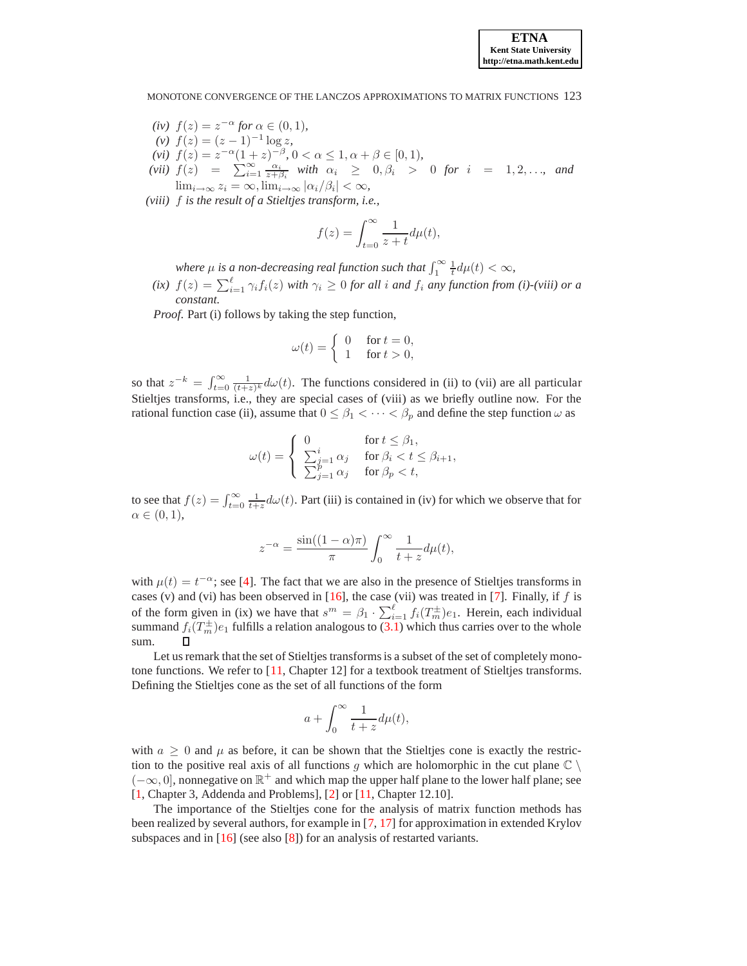## MONOTONE CONVERGENCE OF THE LANCZOS APPROXIMATIONS TO MATRIX FUNCTIONS 123

- *(iv)*  $f(z) = z^{-\alpha}$  *for*  $\alpha \in (0, 1)$ *,*
- $f(z) = (z-1)^{-1} \log z,$
- (*vi*)  $f(z) = z^{-\alpha}(1+z)^{-\beta}, 0 < \alpha \leq 1, \alpha + \beta \in [0,1),$
- *(vii)*  $f(z) = \sum_{i=1}^{\infty} \frac{\alpha_i}{z + \beta_i}$  *with*  $\alpha_i \geq 0, \beta_i > 0$  *for*  $i = 1, 2, \ldots$ , and  $\lim_{i\to\infty} z_i = \infty$ ,  $\lim_{i\to\infty} |\alpha_i/\beta_i| < \infty$ ,
- *(viii)* f *is the result of a Stieltjes transform, i.e.,*

$$
f(z) = \int_{t=0}^{\infty} \frac{1}{z+t} d\mu(t),
$$

*where*  $\mu$  *is a non-decreasing real function such that*  $\int_1^{\infty} \frac{1}{t} d\mu(t) < \infty$ ,

 $(i\mathbf{x})$   $f(z) = \sum_{i=1}^{\ell} \gamma_i f_i(z)$  *with*  $\gamma_i \geq 0$  *for all i and*  $f_i$  *any function from (i)-(viii) or a constant.*

*Proof*. Part (i) follows by taking the step function,

$$
\omega(t) = \begin{cases} 0 & \text{for } t = 0, \\ 1 & \text{for } t > 0, \end{cases}
$$

so that  $z^{-k} = \int_{t=0}^{\infty} \frac{1}{(t+z)^k} d\omega(t)$ . The functions considered in (ii) to (vii) are all particular Stieltjes transforms, i.e., they are special cases of (viii) as we briefly outline now. For the rational function case (ii), assume that  $0 \le \beta_1 < \cdots < \beta_p$  and define the step function  $\omega$  as

$$
\omega(t) = \begin{cases} 0 & \text{for } t \leq \beta_1, \\ \sum_{j=1}^i \alpha_j & \text{for } \beta_i < t \leq \beta_{i+1}, \\ \sum_{j=1}^p \alpha_j & \text{for } \beta_p < t, \end{cases}
$$

to see that  $f(z) = \int_{t=0}^{\infty} \frac{1}{t+z} d\omega(t)$ . Part (iii) is contained in (iv) for which we observe that for  $\alpha \in (0,1),$ 

$$
z^{-\alpha} = \frac{\sin((1-\alpha)\pi)}{\pi} \int_0^\infty \frac{1}{t+z} d\mu(t),
$$

with  $\mu(t) = t^{-\alpha}$ ; see [\[4\]](#page-10-10). The fact that we are also in the presence of Stieltjes transforms in cases (v) and (vi) has been observed in  $[16]$ , the case (vii) was treated in [\[7\]](#page-10-1). Finally, if f is of the form given in (ix) we have that  $s^m = \beta_1 \cdot \sum_{i=1}^{\ell} f_i(T_m^{\pm})e_1$ . Herein, each individual summand  $f_i(T_m^{\pm})e_1$  fulfills a relation analogous to [\(3.1\)](#page-3-2) which thus carries over to the whole sum.

Let us remark that the set of Stieltjes transforms is a subset of the set of completely monotone functions. We refer to [\[11,](#page-10-12) Chapter 12] for a textbook treatment of Stieltjes transforms. Defining the Stieltjes cone as the set of all functions of the form

$$
a + \int_0^\infty \frac{1}{t+z} d\mu(t),
$$

with  $a \geq 0$  and  $\mu$  as before, it can be shown that the Stieltjes cone is exactly the restriction to the positive real axis of all functions g which are holomorphic in the cut plane  $\mathbb{C} \setminus \mathbb{C}$ ( $-\infty$ , 0], nonnegative on  $\mathbb{R}^+$  and which map the upper half plane to the lower half plane; see [\[1,](#page-10-13) Chapter 3, Addenda and Problems], [\[2\]](#page-10-14) or [\[11,](#page-10-12) Chapter 12.10].

The importance of the Stieltjes cone for the analysis of matrix function methods has been realized by several authors, for example in [\[7,](#page-10-1) [17\]](#page-10-15) for approximation in extended Krylov subspaces and in [\[16\]](#page-10-11) (see also [\[8\]](#page-10-16)) for an analysis of restarted variants.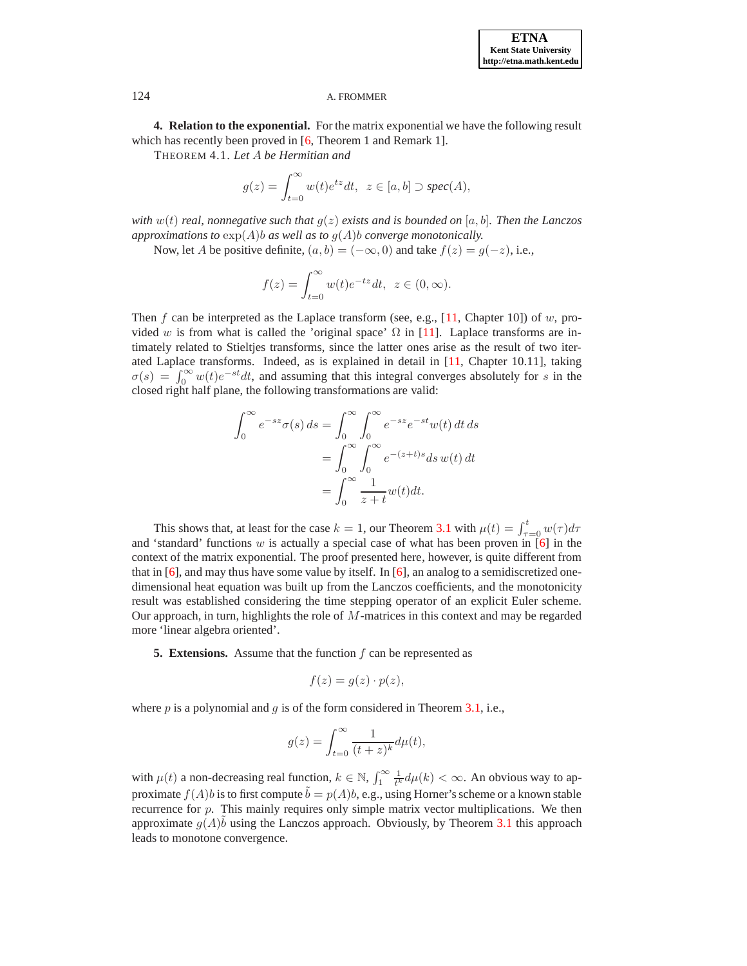**4. Relation to the exponential.** For the matrix exponential we have the following result which has recently been proved in [\[6,](#page-10-8) Theorem 1 and Remark 1].

THEOREM 4.1. *Let* A *be Hermitian and*

$$
g(z) = \int_{t=0}^{\infty} w(t)e^{tz}dt, \ z \in [a, b] \supset spec(A),
$$

*with* w(t) *real, nonnegative such that* g(z) *exists and is bounded on* [a, b]*. Then the Lanczos approximations to*  $\exp(A)$ *b as well as to*  $g(A)$ *b converge monotonically.* 

Now, let A be positive definite,  $(a, b) = (-\infty, 0)$  and take  $f(z) = g(-z)$ , i.e.,

$$
f(z) = \int_{t=0}^{\infty} w(t)e^{-tz}dt, \ z \in (0, \infty).
$$

Then f can be interpreted as the Laplace transform (see, e.g., [\[11,](#page-10-12) Chapter 10]) of w, provided w is from what is called the 'original space'  $\Omega$  in [\[11\]](#page-10-12). Laplace transforms are intimately related to Stieltjes transforms, since the latter ones arise as the result of two iterated Laplace transforms. Indeed, as is explained in detail in [\[11,](#page-10-12) Chapter 10.11], taking  $\sigma(s) = \int_0^\infty w(t)e^{-st}dt$ , and assuming that this integral converges absolutely for s in the closed right half plane, the following transformations are valid:

$$
\int_0^\infty e^{-sz} \sigma(s) ds = \int_0^\infty \int_0^\infty e^{-sz} e^{-st} w(t) dt ds
$$

$$
= \int_0^\infty \int_0^\infty e^{-(z+t)s} ds w(t) dt
$$

$$
= \int_0^\infty \frac{1}{z+t} w(t) dt.
$$

This shows that, at least for the case  $k = 1$ , our Theorem [3.1](#page-3-5) with  $\mu(t) = \int_{\tau=0}^{t} w(\tau) d\tau$ and 'standard' functions w is actually a special case of what has been proven in  $[6]$  in the context of the matrix exponential. The proof presented here, however, is quite different from that in  $[6]$ , and may thus have some value by itself. In  $[6]$ , an analog to a semidiscretized onedimensional heat equation was built up from the Lanczos coefficients, and the monotonicity result was established considering the time stepping operator of an explicit Euler scheme. Our approach, in turn, highlights the role of M-matrices in this context and may be regarded more 'linear algebra oriented'.

<span id="page-6-1"></span>**5. Extensions.** Assume that the function f can be represented as

$$
f(z) = g(z) \cdot p(z),
$$

where  $p$  is a polynomial and  $q$  is of the form considered in Theorem [3.1,](#page-3-5) i.e.,

$$
g(z) = \int_{t=0}^{\infty} \frac{1}{(t+z)^k} d\mu(t),
$$

with  $\mu(t)$  a non-decreasing real function,  $k \in \mathbb{N}$ ,  $\int_1^\infty \frac{1}{t^k} d\mu(k) < \infty$ . An obvious way to approximate  $f(A)b$  is to first compute  $\bar{b} = p(A)b$ , e.g., using Horner's scheme or a known stable recurrence for  $p$ . This mainly requires only simple matrix vector multiplications. We then approximate  $g(A)\tilde{b}$  using the Lanczos approach. Obviously, by Theorem [3.1](#page-3-5) this approach leads to monotone convergence.

<span id="page-6-0"></span>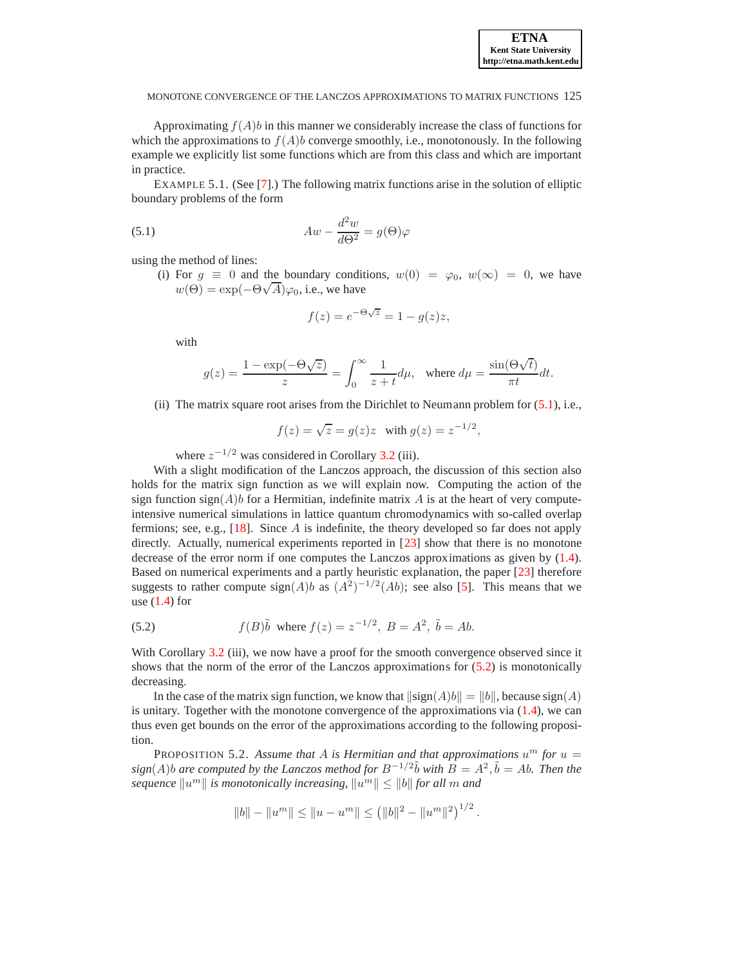Approximating  $f(A)b$  in this manner we considerably increase the class of functions for which the approximations to  $f(A)b$  converge smoothly, i.e., monotonously. In the following example we explicitly list some functions which are from this class and which are important in practice.

<span id="page-7-0"></span>EXAMPLE 5.1. (See [\[7\]](#page-10-1).) The following matrix functions arise in the solution of elliptic boundary problems of the form

(5.1) 
$$
Aw - \frac{d^2w}{d\Theta^2} = g(\Theta)\varphi
$$

using the method of lines:

(i) For  $g \equiv 0$  and the boundary conditions,  $w(0) = \varphi_0$ ,  $w(\infty) = 0$ , we have  $w(\Theta) = \exp(-\Theta\sqrt{A})\varphi_0$ , i.e., we have

$$
f(z) = e^{-\Theta\sqrt{z}} = 1 - g(z)z,
$$

with

$$
g(z) = \frac{1 - \exp(-\Theta \sqrt{z})}{z} = \int_0^\infty \frac{1}{z + t} d\mu, \quad \text{where } d\mu = \frac{\sin(\Theta \sqrt{t})}{\pi t} dt.
$$

(ii) The matrix square root arises from the Dirichlet to Neumann problem for [\(5.1\)](#page-7-0), i.e.,

$$
f(z) = \sqrt{z} = g(z)z \quad \text{with } g(z) = z^{-1/2},
$$

where  $z^{-1/2}$  was considered in Corollary [3.2](#page-4-1) (iii).

With a slight modification of the Lanczos approach, the discussion of this section also holds for the matrix sign function as we will explain now. Computing the action of the sign function sign( $A$ )b for a Hermitian, indefinite matrix  $A$  is at the heart of very computeintensive numerical simulations in lattice quantum chromodynamics with so-called overlap fermions; see, e.g.,  $[18]$ . Since A is indefinite, the theory developed so far does not apply directly. Actually, numerical experiments reported in [[23\]](#page-10-18) show that there is no monotone decrease of the error norm if one computes the Lanczos approximations as given by [\(1.4\)](#page-1-0). Based on numerical experiments and a partly heuristic explanation, the paper [\[23\]](#page-10-18) therefore suggests to rather compute  $sign(A)b$  as  $(A^2)^{-1/2}(Ab)$ ; see also [\[5\]](#page-10-19). This means that we use  $(1.4)$  for

<span id="page-7-1"></span>(5.2) 
$$
f(B)\tilde{b}
$$
 where  $f(z) = z^{-1/2}$ ,  $B = A^2$ ,  $\tilde{b} = Ab$ .

With Corollary [3.2](#page-4-1) (iii), we now have a proof for the smooth convergence observed since it shows that the norm of the error of the Lanczos approximations for [\(5.2\)](#page-7-1) is monotonically decreasing.

In the case of the matrix sign function, we know that  $\|\text{sign}(A)b\| = \|b\|$ , because  $\text{sign}(A)$ is unitary. Together with the monotone convergence of the approximations via  $(1.4)$ , we can thus even get bounds on the error of the approximations according to the following proposition.

PROPOSITION 5.2. Assume that A is Hermitian and that approximations  $u^m$  for  $u =$  $sign(A)b$  are computed by the Lanczos method for  $B^{-1/2}\tilde{b}$  with  $\tilde{B} = A^2, \tilde{b} = Ab$ . Then the  $\textit{sequence } \|u^m\| \textit{ is monotonically increasing, } \|u^m\| \leq \|b\| \textit{for all } m \textit{ and } b$ 

$$
||b|| - ||um|| \le ||u - um|| \le (||b||2 - ||um||2)1/2.
$$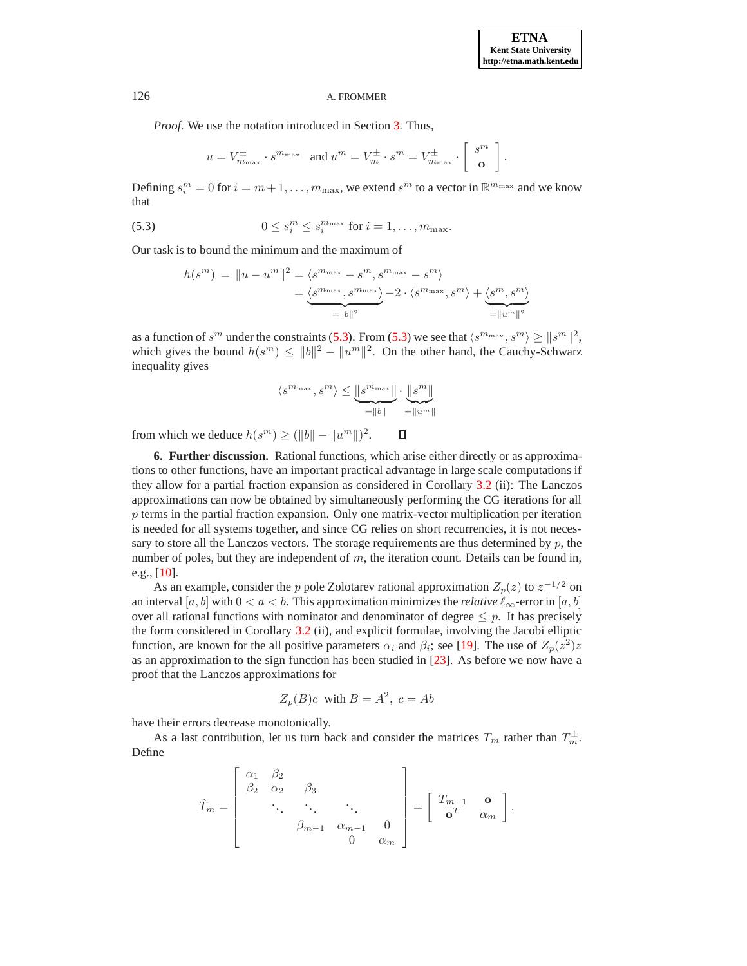*Proof*. We use the notation introduced in Section [3.](#page-3-1) Thus,

$$
u = V^{\pm}_{m_{\max}} \cdot s^{m_{\max}} \quad \text{and } u^m = V^{\pm}_m \cdot s^m = V^{\pm}_{m_{\max}} \cdot \begin{bmatrix} s^m \\ \mathbf{o} \end{bmatrix}.
$$

<span id="page-8-1"></span>Defining  $s_i^m = 0$  for  $i = m+1, \ldots, m_{\text{max}}$ , we extend  $s^m$  to a vector in  $\mathbb{R}^{m_{\text{max}}}$  and we know that

(5.3) 
$$
0 \leq s_i^m \leq s_i^{m_{\max}} \text{ for } i = 1, \ldots, m_{\max}.
$$

Our task is to bound the minimum and the maximum of

$$
h(s^m) = ||u - u^m||^2 = \langle s^{m_{\max}} - s^m, s^{m_{\max}} - s^m \rangle
$$
  
= 
$$
\underbrace{\langle s^{m_{\max}}, s^{m_{\max}} \rangle}_{= ||b||^2} - 2 \cdot \langle s^{m_{\max}}, s^m \rangle + \underbrace{\langle s^m, s^m \rangle}_{= ||u^m||^2}
$$

as a function of  $s^m$  under the constraints [\(5.3\)](#page-8-1). From (5.3) we see that  $\langle s^{m_{\max}}, s^m \rangle \ge ||s^m||^2$ , which gives the bound  $h(s^m) \le ||b||^2 - ||u^m||^2$ . On the other hand, the Cauchy-Schwarz inequality gives

$$
\langle s^{m_{\max}}, s^m \rangle \leq \underbrace{\|s^{m_{\max}}\|}_{=\|b\|} \cdot \underbrace{\|s^m\|}_{=\|u^m\|}
$$

from which we deduce  $h(s^m) \ge (\|b\| - \|u^m\|)^2$ .  $\Box$ 

<span id="page-8-0"></span>**6. Further discussion.** Rational functions, which arise either directly or as approximations to other functions, have an important practical advantage in large scale computations if they allow for a partial fraction expansion as considered in Corollary [3.2](#page-4-1) (ii): The Lanczos approximations can now be obtained by simultaneously performing the CG iterations for all  $p$  terms in the partial fraction expansion. Only one matrix-vector multiplication per iteration is needed for all systems together, and since CG relies on short recurrencies, it is not necessary to store all the Lanczos vectors. The storage requirements are thus determined by  $p$ , the number of poles, but they are independent of  $m$ , the iteration count. Details can be found in, e.g.,  $[10]$ .

As an example, consider the p pole Zolotarev rational approximation  $Z_p(z)$  to  $z^{-1/2}$  on an interval [a, b] with  $0 < a < b$ . This approximation minimizes the *relative*  $\ell_{\infty}$ -error in [a, b] over all rational functions with nominator and denominator of degree  $\leq p$ . It has precisely the form considered in Corollary [3.2](#page-4-1) (ii), and explicit formulae, involving the Jacobi elliptic function, are known for the all positive parameters  $\alpha_i$  and  $\beta_i$ ; see [\[19\]](#page-10-21). The use of  $Z_p(z^2)z$ as an approximation to the sign function has been studied in [\[23\]](#page-10-18). As before we now have a proof that the Lanczos approximations for

$$
Z_p(B)c \text{ with } B = A^2, \ c = Ab
$$

have their errors decrease monotonically.

As a last contribution, let us turn back and consider the matrices  $T_m$  rather than  $T_m^{\pm}$ . Define

$$
\hat{T}_m = \begin{bmatrix} \alpha_1 & \beta_2 & & & \\ \beta_2 & \alpha_2 & \beta_3 & & \\ & \ddots & \ddots & \ddots & \\ & & \beta_{m-1} & \alpha_{m-1} & 0 \\ & & & 0 & \alpha_m \end{bmatrix} = \begin{bmatrix} T_{m-1} & \mathbf{o} \\ \mathbf{o}^T & \alpha_m \end{bmatrix}.
$$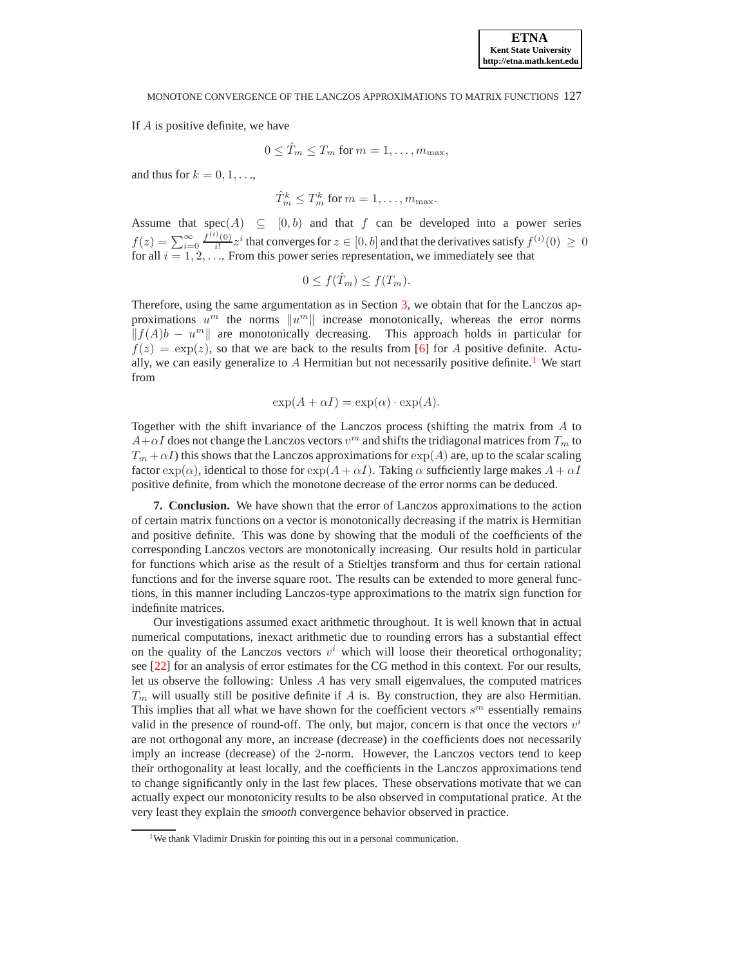If A is positive definite, we have

$$
0 \leq \hat{T}_m \leq T_m \text{ for } m = 1, \dots, m_{\text{max}},
$$

and thus for  $k = 0, 1, \ldots$ ,

$$
\hat{T}_m^k \leq T_m^k \text{ for } m = 1, \dots, m_{\text{max}}.
$$

Assume that  $spec(A) \subseteq [0, b)$  and that f can be developed into a power series  $f(z) = \sum_{i=0}^{\infty} \frac{f^{(i)}(0)}{i!}$  $\frac{\partial^2(0)}{\partial i^2} z^i$  that converges for  $z \in [0, b]$  and that the derivatives satisfy  $f^{(i)}(0) \ge 0$ for all  $i = 1, 2, \ldots$  From this power series representation, we immediately see that

$$
0 \le f(\hat{T}_m) \le f(T_m).
$$

Therefore, using the same argumentation as in Section [3,](#page-3-1) we obtain that for the Lanczos approximations  $u^m$  the norms  $||u^m||$  increase monotonically, whereas the error norms  $|| f(A)b - u<sup>m</sup> ||$  are monotonically decreasing. This approach holds in particular for  $f(z) = \exp(z)$ , so that we are back to the results from [\[6\]](#page-10-8) for A positive definite. Actually, we can easily generalize to  $A$  Hermitian but not necessarily positive definite.<sup>[1](#page-9-0)</sup> We start from

$$
\exp(A + \alpha I) = \exp(\alpha) \cdot \exp(A).
$$

Together with the shift invariance of the Lanczos process (shifting the matrix from A to  $A+\alpha I$  does not change the Lanczos vectors  $v^m$  and shifts the tridiagonal matrices from  $T_m$  to  $T_m + \alpha I$ ) this shows that the Lanczos approximations for  $\exp(A)$  are, up to the scalar scaling factor  $\exp(\alpha)$ , identical to those for  $\exp(A + \alpha I)$ . Taking  $\alpha$  sufficiently large makes  $A + \alpha I$ positive definite, from which the monotone decrease of the error norms can be deduced.

**7. Conclusion.** We have shown that the error of Lanczos approximations to the action of certain matrix functions on a vector is monotonically decreasing if the matrix is Hermitian and positive definite. This was done by showing that the moduli of the coefficients of the corresponding Lanczos vectors are monotonically increasing. Our results hold in particular for functions which arise as the result of a Stieltjes transform and thus for certain rational functions and for the inverse square root. The results can be extended to more general functions, in this manner including Lanczos-type approximations to the matrix sign function for indefinite matrices.

Our investigations assumed exact arithmetic throughout. It is well known that in actual numerical computations, inexact arithmetic due to rounding errors has a substantial effect on the quality of the Lanczos vectors  $v^i$  which will loose their theoretical orthogonality; see [\[22\]](#page-10-22) for an analysis of error estimates for the CG method in this context. For our results, let us observe the following: Unless A has very small eigenvalues, the computed matrices  $T_m$  will usually still be positive definite if A is. By construction, they are also Hermitian. This implies that all what we have shown for the coefficient vectors  $s^m$  essentially remains valid in the presence of round-off. The only, but major, concern is that once the vectors  $v^i$ are not orthogonal any more, an increase (decrease) in the coefficients does not necessarily imply an increase (decrease) of the 2-norm. However, the Lanczos vectors tend to keep their orthogonality at least locally, and the coefficients in the Lanczos approximations tend to change significantly only in the last few places. These observations motivate that we can actually expect our monotonicity results to be also observed in computational pratice. At the very least they explain the *smooth* convergence behavior observed in practice.

<span id="page-9-0"></span><sup>&</sup>lt;sup>1</sup>We thank Vladimir Druskin for pointing this out in a personal communication.